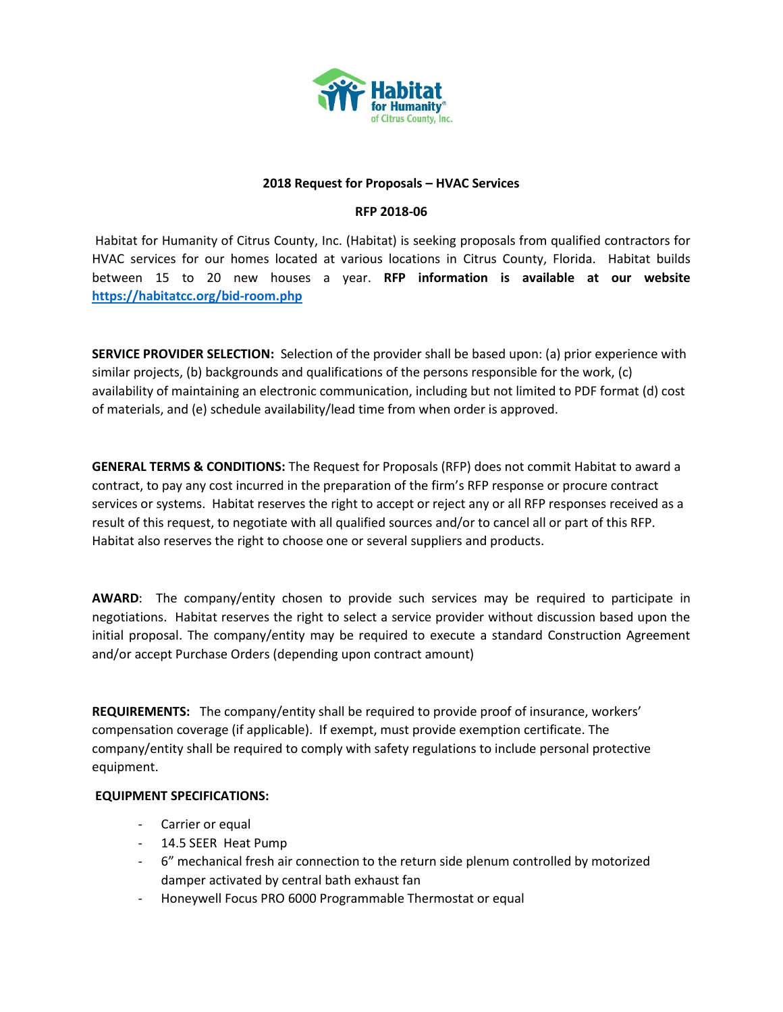

#### **2018 Request for Proposals – HVAC Services**

### **RFP 2018-06**

Habitat for Humanity of Citrus County, Inc. (Habitat) is seeking proposals from qualified contractors for HVAC services for our homes located at various locations in Citrus County, Florida. Habitat builds between 15 to 20 new houses a year. **RFP information is available at our website <https://habitatcc.org/bid-room.php>**

**SERVICE PROVIDER SELECTION:** Selection of the provider shall be based upon: (a) prior experience with similar projects, (b) backgrounds and qualifications of the persons responsible for the work, (c) availability of maintaining an electronic communication, including but not limited to PDF format (d) cost of materials, and (e) schedule availability/lead time from when order is approved.

**GENERAL TERMS & CONDITIONS:** The Request for Proposals (RFP) does not commit Habitat to award a contract, to pay any cost incurred in the preparation of the firm's RFP response or procure contract services or systems. Habitat reserves the right to accept or reject any or all RFP responses received as a result of this request, to negotiate with all qualified sources and/or to cancel all or part of this RFP. Habitat also reserves the right to choose one or several suppliers and products.

**AWARD**: The company/entity chosen to provide such services may be required to participate in negotiations. Habitat reserves the right to select a service provider without discussion based upon the initial proposal. The company/entity may be required to execute a standard Construction Agreement and/or accept Purchase Orders (depending upon contract amount)

**REQUIREMENTS:** The company/entity shall be required to provide proof of insurance, workers' compensation coverage (if applicable). If exempt, must provide exemption certificate. The company/entity shall be required to comply with safety regulations to include personal protective equipment.

# **EQUIPMENT SPECIFICATIONS:**

- Carrier or equal
- 14.5 SEER Heat Pump
- 6" mechanical fresh air connection to the return side plenum controlled by motorized damper activated by central bath exhaust fan
- Honeywell Focus PRO 6000 Programmable Thermostat or equal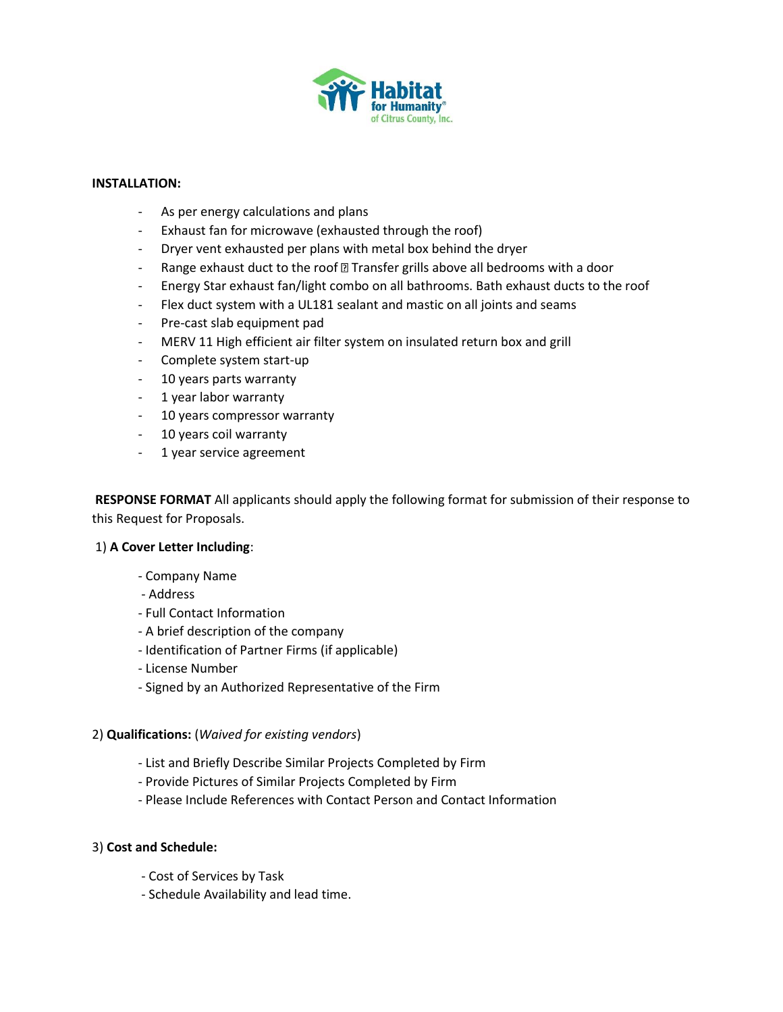

### **INSTALLATION:**

- As per energy calculations and plans
- Exhaust fan for microwave (exhausted through the roof)
- Dryer vent exhausted per plans with metal box behind the dryer
- Range exhaust duct to the roof @ Transfer grills above all bedrooms with a door
- Energy Star exhaust fan/light combo on all bathrooms. Bath exhaust ducts to the roof
- Flex duct system with a UL181 sealant and mastic on all joints and seams
- Pre-cast slab equipment pad
- MERV 11 High efficient air filter system on insulated return box and grill
- Complete system start-up
- 10 years parts warranty
- 1 year labor warranty
- 10 years compressor warranty
- 10 years coil warranty
- 1 year service agreement

**RESPONSE FORMAT** All applicants should apply the following format for submission of their response to this Request for Proposals.

# 1) **A Cover Letter Including**:

- Company Name
- Address
- Full Contact Information
- A brief description of the company
- Identification of Partner Firms (if applicable)
- License Number
- Signed by an Authorized Representative of the Firm

# 2) **Qualifications:** (*Waived for existing vendors*)

- List and Briefly Describe Similar Projects Completed by Firm
- Provide Pictures of Similar Projects Completed by Firm
- Please Include References with Contact Person and Contact Information

# 3) **Cost and Schedule:**

- Cost of Services by Task
- Schedule Availability and lead time.